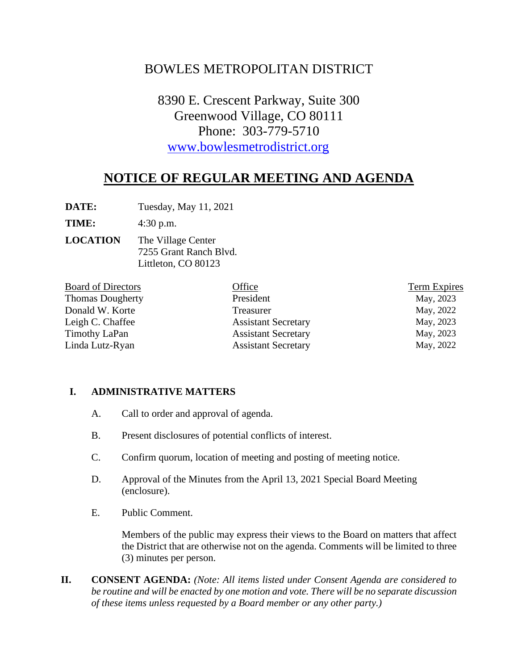# BOWLES METROPOLITAN DISTRICT

8390 E. Crescent Parkway, Suite 300 Greenwood Village, CO 80111 Phone: 303-779-5710 [www.bowlesmetrodistrict.org](http://www.bowlesmetrodistrict.org/) 

# **NOTICE OF REGULAR MEETING AND AGENDA**

**DATE:** Tuesday, May 11, 2021

**TIME:** 4:30 p.m.

**LOCATION** The Village Center 7255 Grant Ranch Blvd. Littleton, CO 80123

| <b>Board of Directors</b> | Office                     | Term Expires |
|---------------------------|----------------------------|--------------|
| <b>Thomas Dougherty</b>   | President                  | May, 2023    |
| Donald W. Korte           | Treasurer                  | May, 2022    |
| Leigh C. Chaffee          | <b>Assistant Secretary</b> | May, 2023    |
| <b>Timothy LaPan</b>      | <b>Assistant Secretary</b> | May, 2023    |
| Linda Lutz-Ryan           | <b>Assistant Secretary</b> | May, 2022    |

#### **I. ADMINISTRATIVE MATTERS**

- A. Call to order and approval of agenda.
- B. Present disclosures of potential conflicts of interest.
- C. Confirm quorum, location of meeting and posting of meeting notice.
- D. Approval of the Minutes from the April 13, 2021 Special Board Meeting (enclosure).
- E. Public Comment.

Members of the public may express their views to the Board on matters that affect the District that are otherwise not on the agenda. Comments will be limited to three (3) minutes per person.

**II. CONSENT AGENDA:** *(Note: All items listed under Consent Agenda are considered to be routine and will be enacted by one motion and vote. There will be no separate discussion of these items unless requested by a Board member or any other party.)*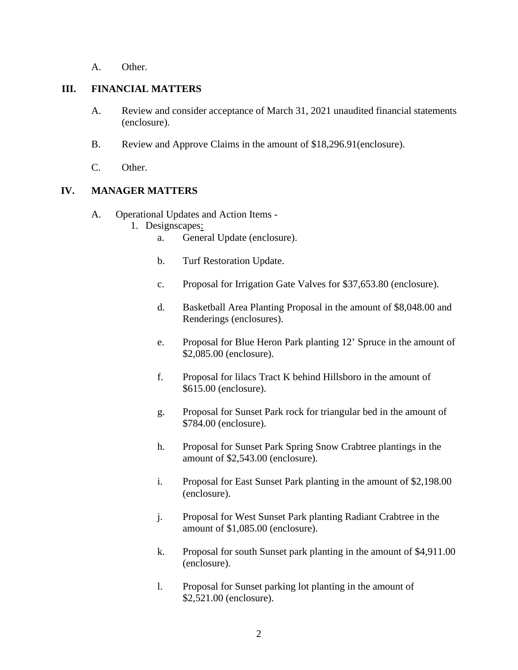A. Other.

#### **III. FINANCIAL MATTERS**

- A. Review and consider acceptance of March 31, 2021 unaudited financial statements (enclosure).
- B. Review and Approve Claims in the amount of \$18,296.91(enclosure).
- C. Other.

## **IV. MANAGER MATTERS**

- A. Operational Updates and Action Items
	- 1. Designscapes:
		- a. General Update (enclosure).
		- b. Turf Restoration Update.
		- c. Proposal for Irrigation Gate Valves for \$37,653.80 (enclosure).
		- d. Basketball Area Planting Proposal in the amount of \$8,048.00 and Renderings (enclosures).
		- e. Proposal for Blue Heron Park planting 12' Spruce in the amount of \$2,085.00 (enclosure).
		- f. Proposal for lilacs Tract K behind Hillsboro in the amount of \$615.00 (enclosure).
		- g. Proposal for Sunset Park rock for triangular bed in the amount of \$784.00 (enclosure).
		- h. Proposal for Sunset Park Spring Snow Crabtree plantings in the amount of \$2,543.00 (enclosure).
		- i. Proposal for East Sunset Park planting in the amount of \$2,198.00 (enclosure).
		- j. Proposal for West Sunset Park planting Radiant Crabtree in the amount of \$1,085.00 (enclosure).
		- k. Proposal for south Sunset park planting in the amount of \$4,911.00 (enclosure).
		- l. Proposal for Sunset parking lot planting in the amount of \$2,521.00 (enclosure).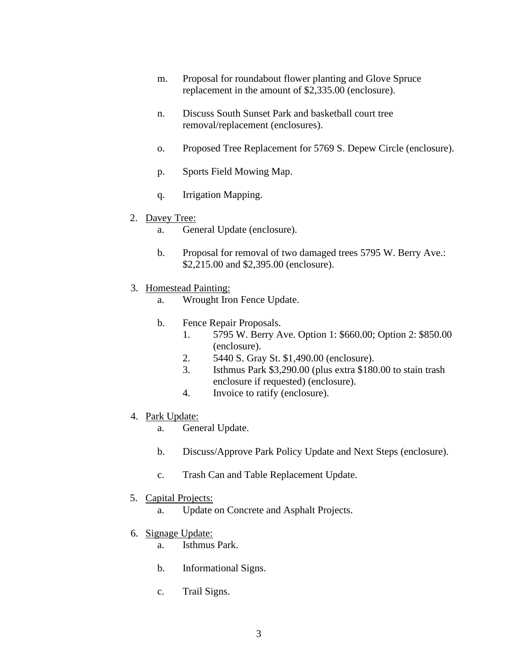- m. Proposal for roundabout flower planting and Glove Spruce replacement in the amount of \$2,335.00 (enclosure).
- n. Discuss South Sunset Park and basketball court tree removal/replacement (enclosures).
- o. Proposed Tree Replacement for 5769 S. Depew Circle (enclosure).
- p. Sports Field Mowing Map.
- q. Irrigation Mapping.
- 2. Davey Tree:
	- a. General Update (enclosure).
	- b. Proposal for removal of two damaged trees 5795 W. Berry Ave.: \$2,215.00 and \$2,395.00 (enclosure).
- 3. Homestead Painting:
	- a. Wrought Iron Fence Update.
	- b. Fence Repair Proposals.
		- 1. 5795 W. Berry Ave. Option 1: \$660.00; Option 2: \$850.00 (enclosure).
		- 2. 5440 S. Gray St. \$1,490.00 (enclosure).
		- 3. Isthmus Park \$3,290.00 (plus extra \$180.00 to stain trash enclosure if requested) (enclosure).
		- 4. Invoice to ratify (enclosure).
- 4. Park Update:
	- a. General Update.
	- b. Discuss/Approve Park Policy Update and Next Steps (enclosure).
	- c. Trash Can and Table Replacement Update.
- 5. Capital Projects:
	- a. Update on Concrete and Asphalt Projects.
- 6. Signage Update:
	- a. Isthmus Park.
	- b. Informational Signs.
	- c. Trail Signs.